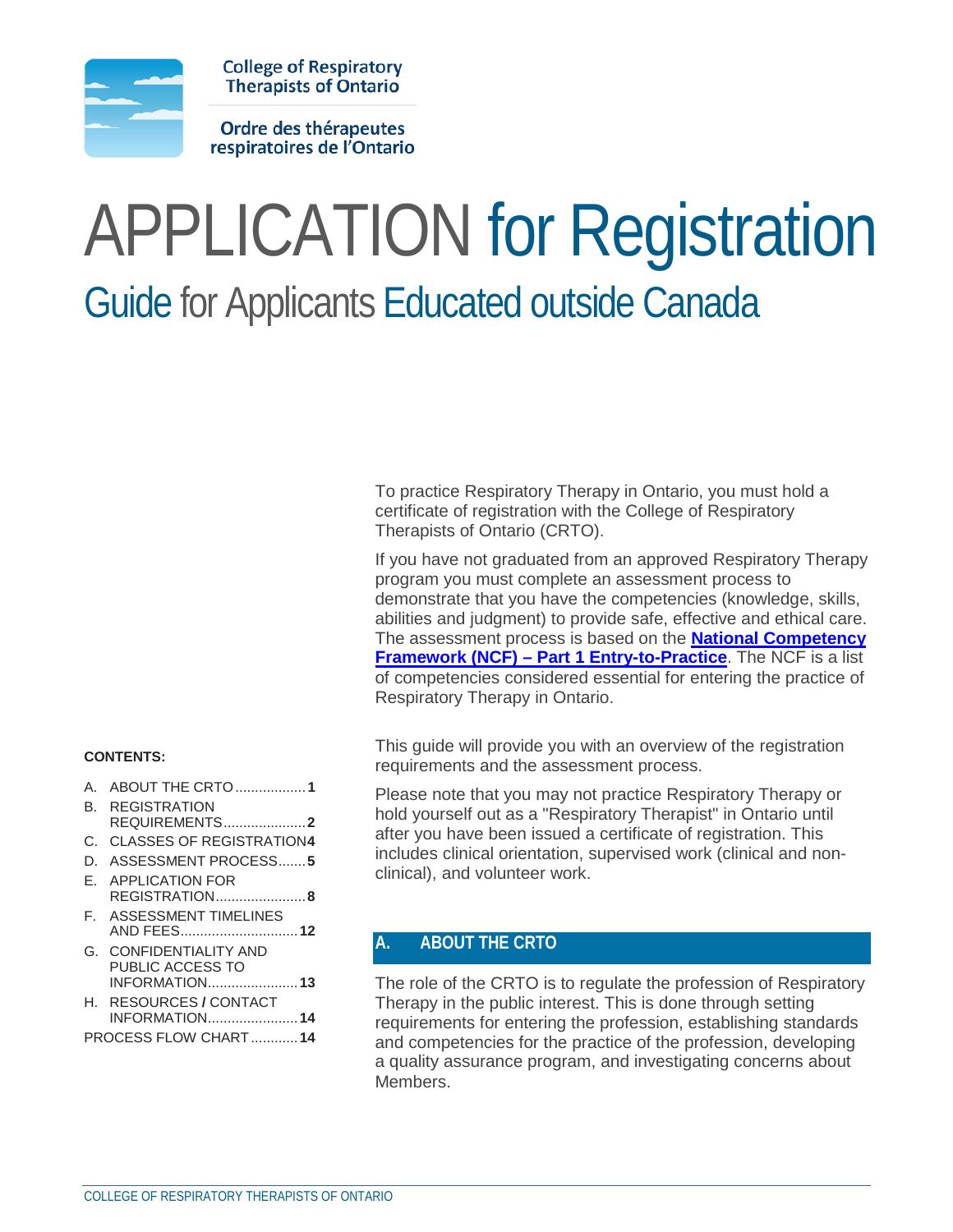

**College of Respiratory Therapists of Ontario** 

Ordre des thérapeutes respiratoires de l'Ontario

# APPLICATION for Registration Guide for Applicants Educated outside Canada

To practice Respiratory Therapy in Ontario, you must hold a certificate of registration with the College of Respiratory Therapists of Ontario (CRTO).

If you have not graduated from an approved Respiratory Therapy program you must complete an assessment process to demonstrate that you have the competencies (knowledge, skills, abilities and judgment) to provide safe, effective and ethical care. The assessment process is based on the **National Competency Framework (NCF) – Part 1 Entry-to-Practice**. The NCF is a list of competencies considered essential for entering the practice of Respiratory Therapy in Ontario.

This guide will provide you with an overview of the registration requirements and the assessment process.

Please note that you may not practice Respiratory Therapy or hold yourself out as a "Respiratory Therapist" in Ontario until after you have been issued a certificate of registration. This includes clinical orientation, supervised work (clinical and nonclinical), and volunteer work.

# <span id="page-0-0"></span>**A. ABOUT THE CRTO**

The role of the CRTO is to regulate the profession of Respiratory Therapy in the public interest. This is done through setting requirements for entering the profession, establishing standards and competencies for the practice of the profession, developing a quality assurance program, and investigating concerns about Members.

#### **CONTENTS:**

- A. [ABOUT THE CRTO..................](#page-0-0)**1**
- B. [REGISTRATION](#page-1-0)  [REQUIREMENTS.....................](#page-1-0)**2**
- C. [CLASSES OF REGISTRATION](#page-3-0)**4**
- 
- D. [ASSESSMENT PROCESS.......](#page-4-0)**5**
- E. [APPLICATION FOR](#page-7-0)  [REGISTRATION.......................](#page-7-0)**8**
- F. [ASSESSMENT TIMELINES](#page-11-0) [AND FEES..............................](#page-11-0)**12**
- G. [CONFIDENTIALITY AND](#page-12-0)  [PUBLIC ACCESS TO](#page-12-0)  [INFORMATION.......................](#page-12-0)**13**
- H. [RESOURCES](#page-13-0) **/** CONTACT [INFORMATION.......................](#page-13-0)**14**
- PROCESS FLOW CHART............**14**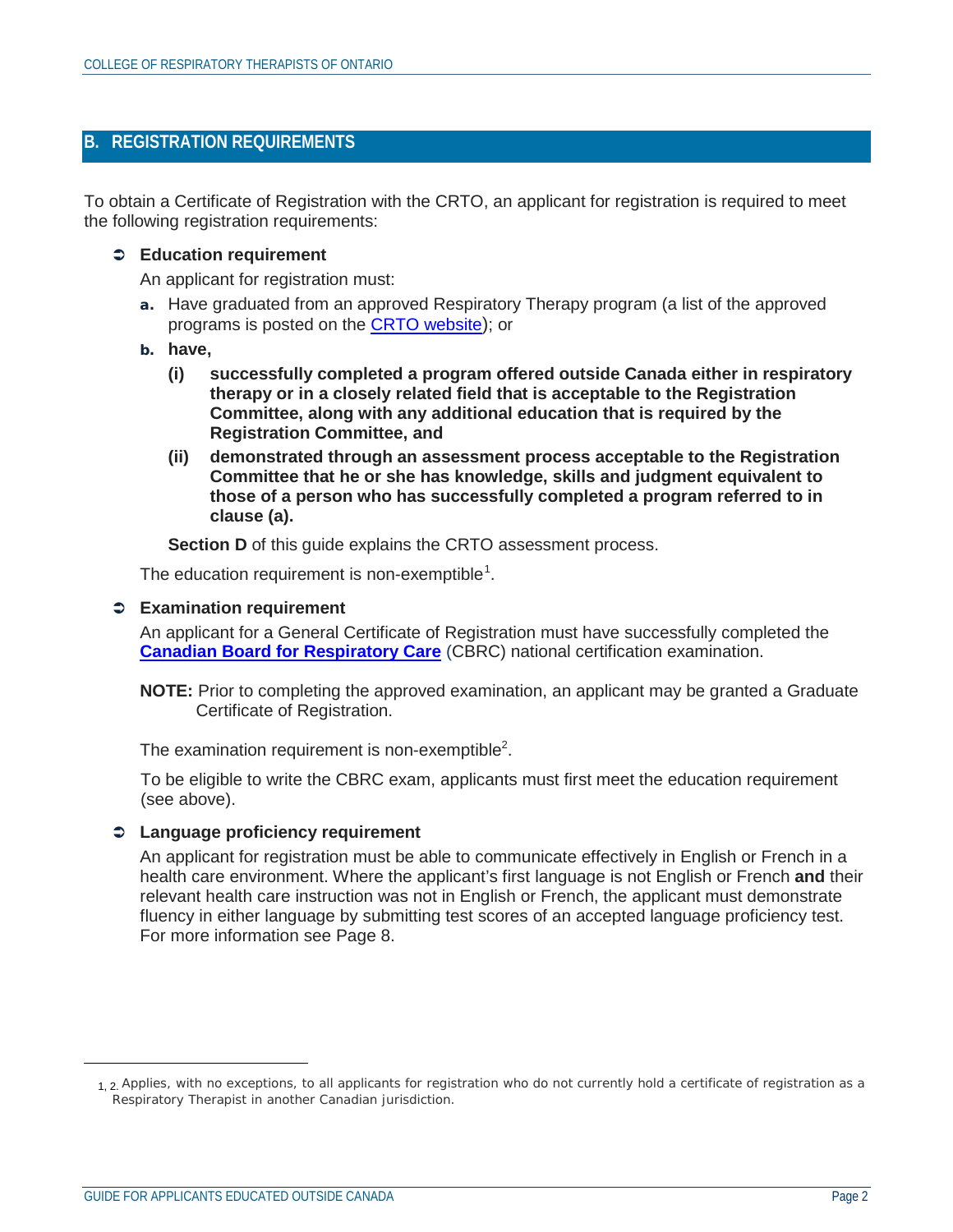# <span id="page-1-0"></span>**B. REGISTRATION REQUIREMENTS**

To obtain a Certificate of Registration with the CRTO, an applicant for registration is required to meet the following registration requirements:

### **Education requirement**

An applicant for registration must:

- a. Have graduated from an approved Respiratory Therapy program (a list of the approved programs is posted on the **CRTO website**); or
- b. **have,**
	- **(i) successfully completed a program offered outside Canada either in respiratory therapy or in a closely related field that is acceptable to the Registration Committee, along with any additional education that is required by the Registration Committee, and**
	- **(ii) demonstrated through an assessment process acceptable to the Registration Committee that he or she has knowledge, skills and judgment equivalent to those of a person who has successfully completed a program referred to in clause (a).**

**Section D** of this guide explains the CRTO assessment process.

The education requirement is non-exemptible<sup>[1](#page-1-1)</sup>.

### **Examination requirement**

An applicant for a General Certificate of Registration must have successfully completed the **Canadian Board for Respiratory Care** (CBRC) national certification examination.

**NOTE:** Prior to completing the approved examination, an applicant may be granted a Graduate Certificate of Registration.

The examination requirement is non-exemptible<sup>2</sup>.

To be eligible to write the CBRC exam, applicants must first meet the education requirement (see above).

## **Language proficiency requirement**

An applicant for registration must be able to communicate effectively in English or French in a health care environment. Where the applicant's first language is not English or French **and** their relevant health care instruction was not in English or French, the applicant must demonstrate fluency in either language by submitting test scores of an accepted language proficiency test. For more information see Page 8.

<span id="page-1-1"></span> $\overline{a}$ 

<sup>1, 2.</sup> Applies, with no exceptions, to all applicants for registration who do not currently hold a certificate of registration as a Respiratory Therapist in another Canadian jurisdiction.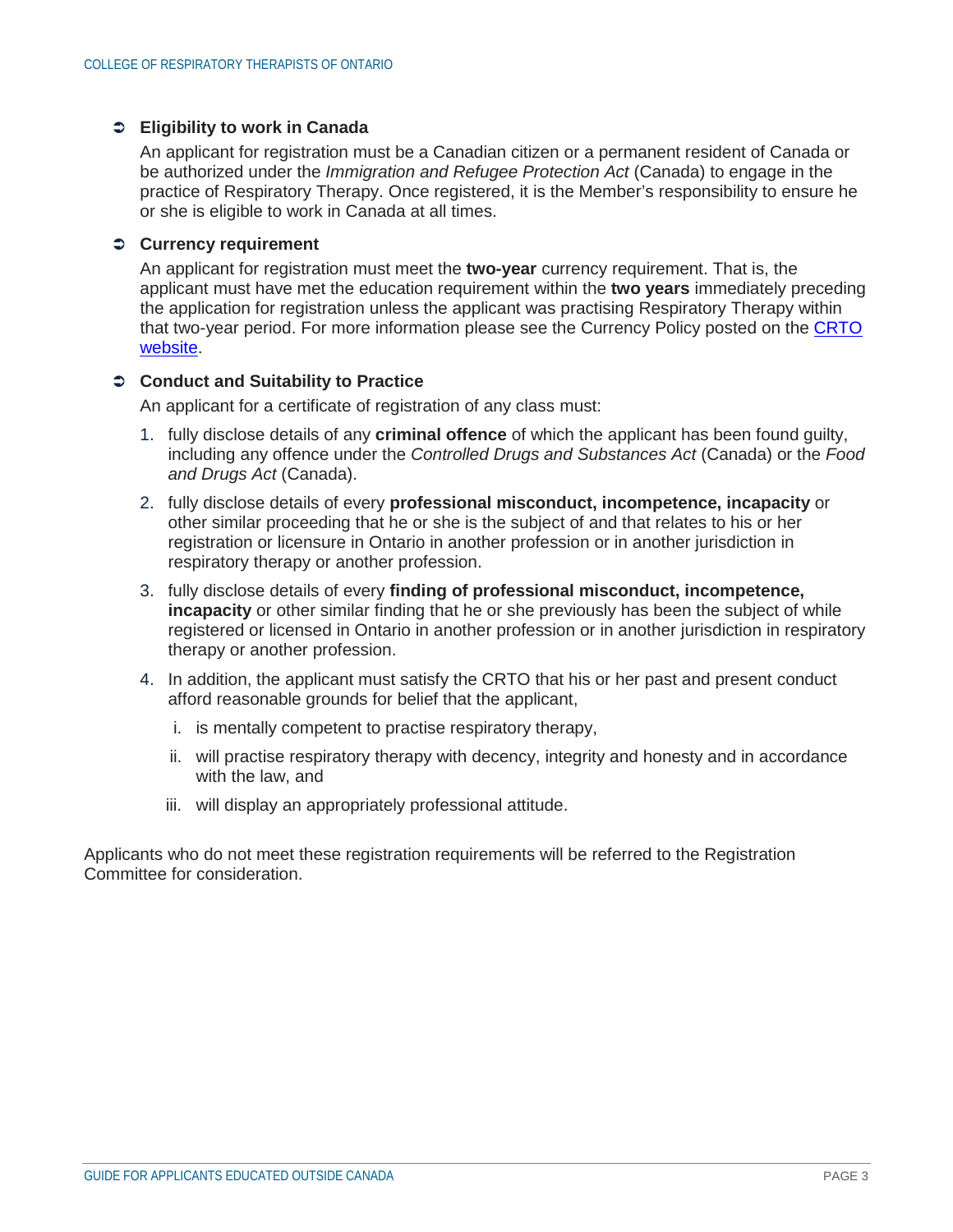### **Eligibility to work in Canada**

An applicant for registration must be a Canadian citizen or a permanent resident of Canada or be authorized under the *Immigration and Refugee Protection Act* (Canada) to engage in the practice of Respiratory Therapy. Once registered, it is the Member's responsibility to ensure he or she is eligible to work in Canada at all times.

### **Currency requirement**

An applicant for registration must meet the **two-year** currency requirement. That is, the applicant must have met the education requirement within the **two years** immediately preceding the application for registration unless the applicant was practising Respiratory Therapy within that two-year period. For more information please see the Currency Policy posted on the CRTO website.

### **Conduct and Suitability to Practice**

An applicant for a certificate of registration of any class must:

- 1. fully disclose details of any **criminal offence** of which the applicant has been found guilty, including any offence under the *Controlled Drugs and Substances Act* (Canada) or the *Food and Drugs Act* (Canada).
- 2. fully disclose details of every **professional misconduct, incompetence, incapacity** or other similar proceeding that he or she is the subject of and that relates to his or her registration or licensure in Ontario in another profession or in another jurisdiction in respiratory therapy or another profession.
- 3. fully disclose details of every **finding of professional misconduct, incompetence, incapacity** or other similar finding that he or she previously has been the subject of while registered or licensed in Ontario in another profession or in another jurisdiction in respiratory therapy or another profession.
- 4. In addition, the applicant must satisfy the CRTO that his or her past and present conduct afford reasonable grounds for belief that the applicant,
	- i. is mentally competent to practise respiratory therapy,
	- ii. will practise respiratory therapy with decency, integrity and honesty and in accordance with the law, and
	- iii. will display an appropriately professional attitude.

Applicants who do not meet these registration requirements will be referred to the Registration Committee for consideration.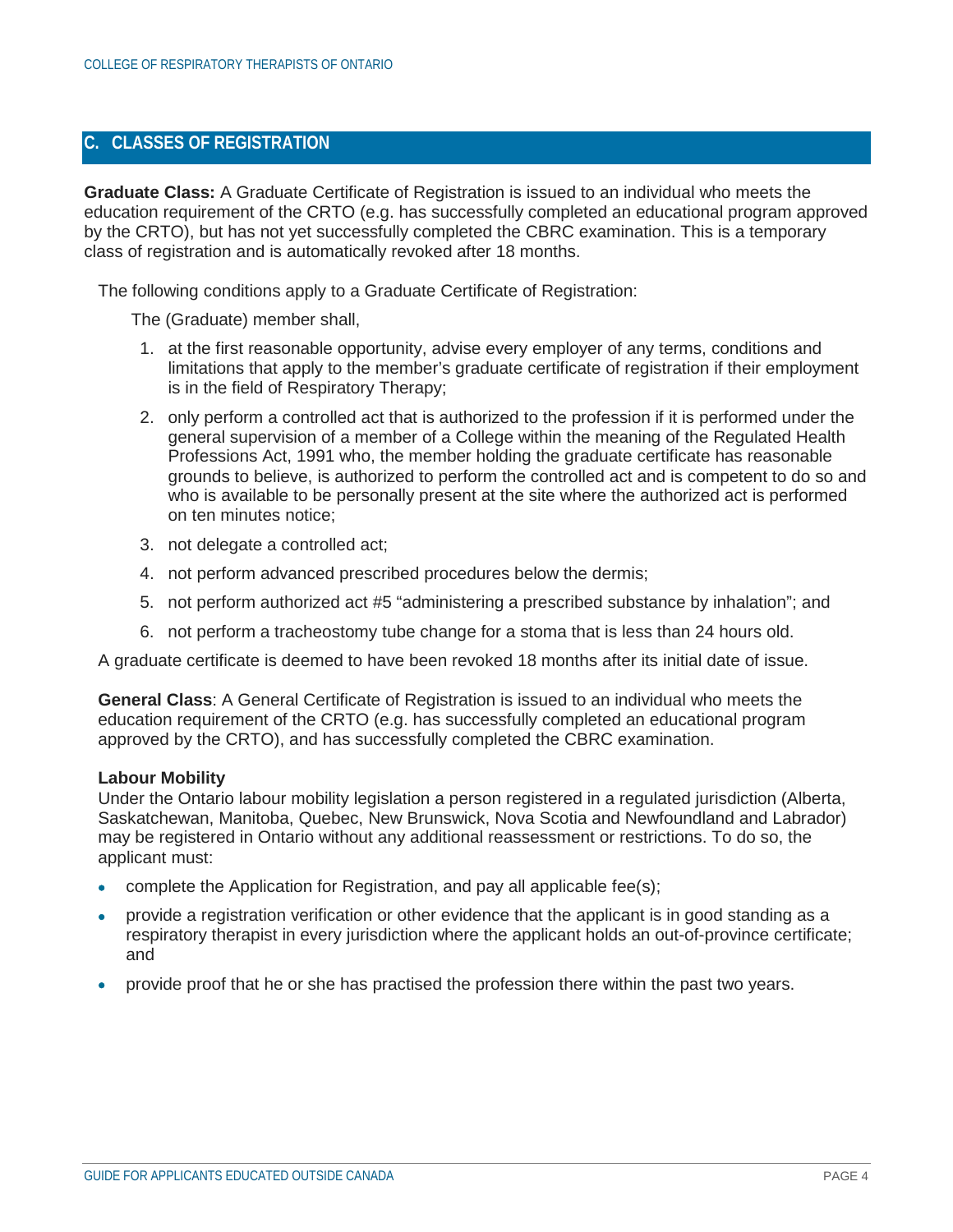# <span id="page-3-0"></span>**C. CLASSES OF REGISTRATION**

**Graduate Class:** A Graduate Certificate of Registration is issued to an individual who meets the education requirement of the CRTO (e.g. has successfully completed an educational program approved by the CRTO), but has not yet successfully completed the CBRC examination. This is a temporary class of registration and is automatically revoked after 18 months.

The following conditions apply to a Graduate Certificate of Registration:

The (Graduate) member shall,

- 1. at the first reasonable opportunity, advise every employer of any terms, conditions and limitations that apply to the member's graduate certificate of registration if their employment is in the field of Respiratory Therapy;
- 2. only perform a controlled act that is authorized to the profession if it is performed under the general supervision of a member of a College within the meaning of the Regulated Health Professions Act, 1991 who, the member holding the graduate certificate has reasonable grounds to believe, is authorized to perform the controlled act and is competent to do so and who is available to be personally present at the site where the authorized act is performed on ten minutes notice;
- 3. not delegate a controlled act;
- 4. not perform advanced prescribed procedures below the dermis;
- 5. not perform authorized act #5 "administering a prescribed substance by inhalation"; and
- 6. not perform a tracheostomy tube change for a stoma that is less than 24 hours old.

A graduate certificate is deemed to have been revoked 18 months after its initial date of issue.

**General Class**: A General Certificate of Registration is issued to an individual who meets the education requirement of the CRTO (e.g. has successfully completed an educational program approved by the CRTO), and has successfully completed the CBRC examination.

#### **Labour Mobility**

Under the Ontario labour mobility legislation a person registered in a regulated jurisdiction (Alberta, Saskatchewan, Manitoba, Quebec, New Brunswick, Nova Scotia and Newfoundland and Labrador) may be registered in Ontario without any additional reassessment or restrictions. To do so, the applicant must:

- complete the Application for Registration, and pay all applicable fee(s);
- provide a registration verification or other evidence that the applicant is in good standing as a respiratory therapist in every jurisdiction where the applicant holds an out-of-province certificate; and
- provide proof that he or she has practised the profession there within the past two years.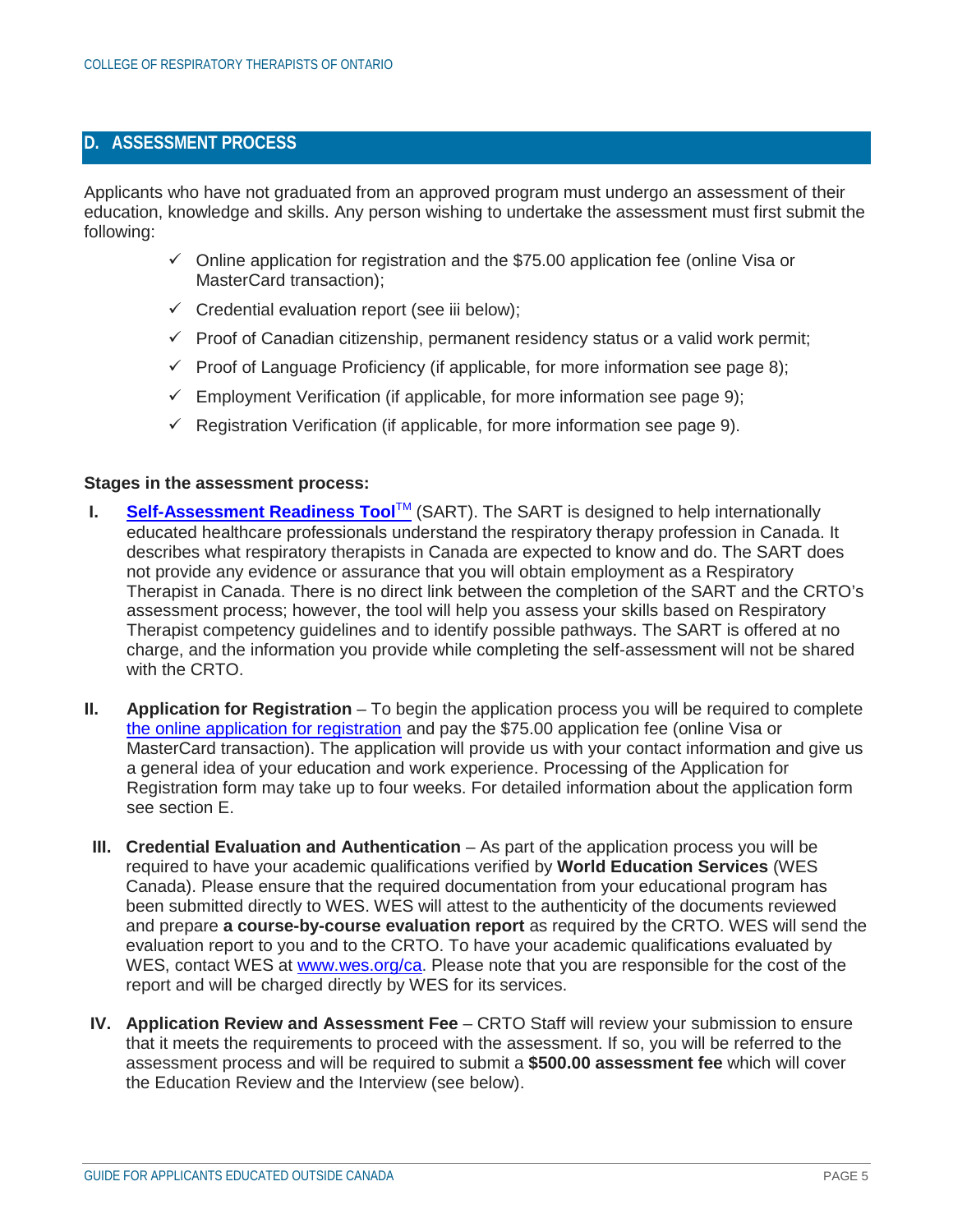# <span id="page-4-0"></span>**D. ASSESSMENT PROCESS**

Applicants who have not graduated from an approved program must undergo an assessment of their education, knowledge and skills. Any person wishing to undertake the assessment must first submit the following:

- $\checkmark$  Online application for registration and the \$75.00 application fee (online Visa or MasterCard transaction);
- $\checkmark$  Credential evaluation report (see iii below);
- $\checkmark$  Proof of Canadian citizenship, permanent residency status or a valid work permit;
- $\checkmark$  Proof of Language Proficiency (if applicable, for more information see page 8);
- $\checkmark$  Employment Verification (if applicable, for more information see page 9);
- $\checkmark$  Registration Verification (if applicable, for more information see page 9).

#### **Stages in the assessment process:**

- **I.** Self-Assessment Readiness Tool™ (SART). The SART is designed to help internationally educated healthcare professionals understand the respiratory therapy profession in Canada. It describes what respiratory therapists in Canada are expected to know and do. The SART does not provide any evidence or assurance that you will obtain employment as a Respiratory Therapist in Canada. There is no direct link between the completion of the SART and the CRTO's assessment process; however, the tool will help you assess your skills based on Respiratory Therapist competency guidelines and to identify possible pathways. The SART is offered at no charge, and the information you provide while completing the self-assessment will not be shared with the CRTO.
- **II. Application for Registration** To begin the application process you will be required to complete the online application for registration and pay the \$75.00 application fee (online Visa or MasterCard transaction). The application will provide us with your contact information and give us a general idea of your education and work experience. Processing of the Application for Registration form may take up to four weeks. For detailed information about the application form see section E.
- **III. Credential Evaluation and Authentication** As part of the application process you will be required to have your academic qualifications verified by **World Education Services** (WES Canada). Please ensure that the required documentation from your educational program has been submitted directly to WES. WES will attest to the authenticity of the documents reviewed and prepare **a course-by-course evaluation report** as required by the CRTO. WES will send the evaluation report to you and to the CRTO. To have your academic qualifications evaluated by WES, contact WES at www.wes.org/ca. Please note that you are responsible for the cost of the report and will be charged directly by WES for its services.
- **IV. Application Review and Assessment Fee** CRTO Staff will review your submission to ensure that it meets the requirements to proceed with the assessment. If so, you will be referred to the assessment process and will be required to submit a **\$500.00 assessment fee** which will cover the Education Review and the Interview (see below).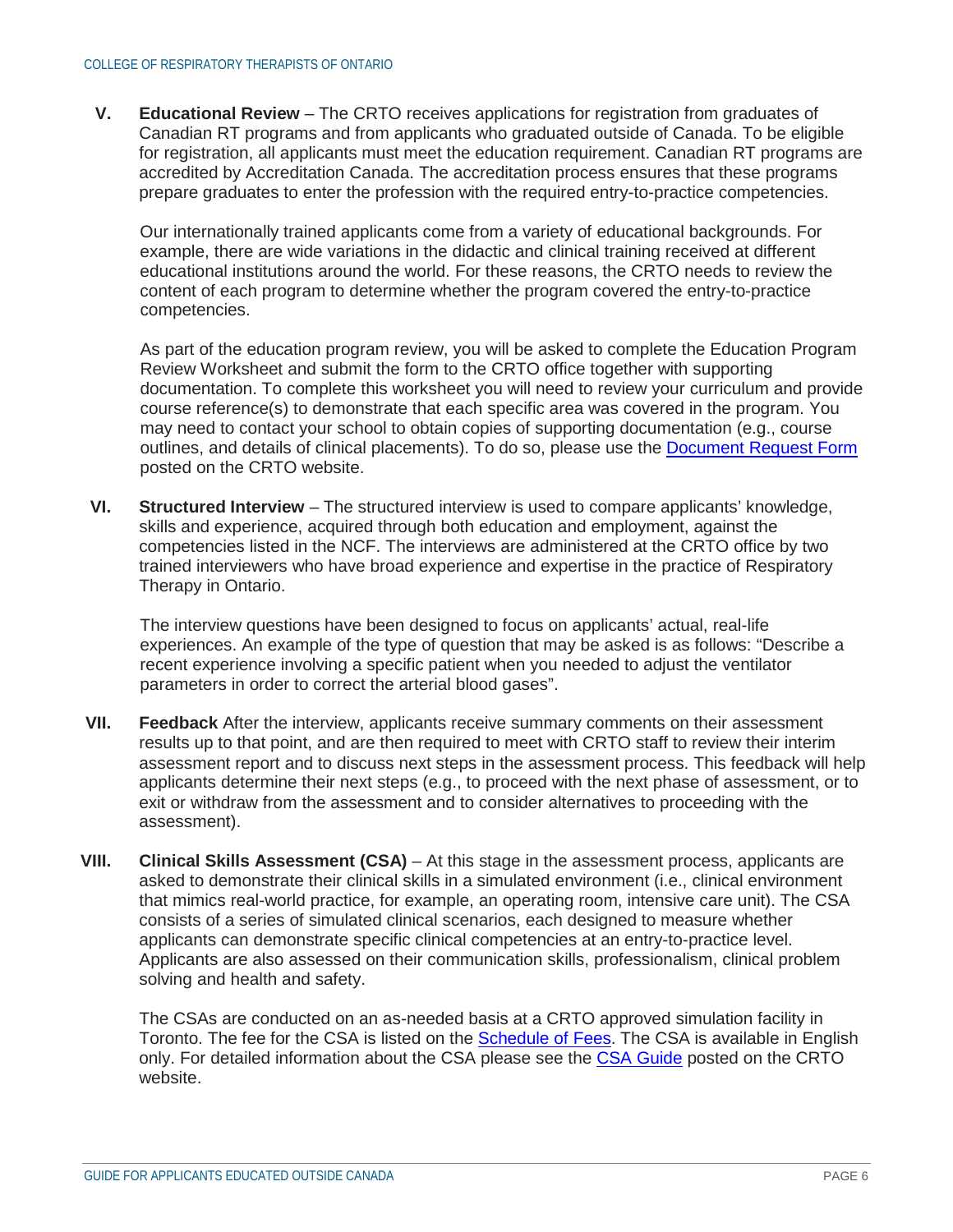**V. Educational Review** – The CRTO receives applications for registration from graduates of Canadian RT programs and from applicants who graduated outside of Canada. To be eligible for registration, all applicants must meet the education requirement. Canadian RT programs are accredited by Accreditation Canada. The accreditation process ensures that these programs prepare graduates to enter the profession with the required entry-to-practice competencies.

Our internationally trained applicants come from a variety of educational backgrounds. For example, there are wide variations in the didactic and clinical training received at different educational institutions around the world. For these reasons, the CRTO needs to review the content of each program to determine whether the program covered the entry-to-practice competencies.

As part of the education program review, you will be asked to complete the Education Program Review Worksheet and submit the form to the CRTO office together with supporting documentation. To complete this worksheet you will need to review your curriculum and provide course reference(s) to demonstrate that each specific area was covered in the program. You may need to contact your school to obtain copies of supporting documentation (e.g., course outlines, and details of clinical placements). To do so, please use the Document Request Form posted on the CRTO website.

**VI. Structured Interview** – The structured interview is used to compare applicants' knowledge, skills and experience, acquired through both education and employment, against the competencies listed in the NCF. The interviews are administered at the CRTO office by two trained interviewers who have broad experience and expertise in the practice of Respiratory Therapy in Ontario.

The interview questions have been designed to focus on applicants' actual, real-life experiences. An example of the type of question that may be asked is as follows: "Describe a recent experience involving a specific patient when you needed to adjust the ventilator parameters in order to correct the arterial blood gases".

- **VII. Feedback** After the interview, applicants receive summary comments on their assessment results up to that point, and are then required to meet with CRTO staff to review their interim assessment report and to discuss next steps in the assessment process. This feedback will help applicants determine their next steps (e.g., to proceed with the next phase of assessment, or to exit or withdraw from the assessment and to consider alternatives to proceeding with the assessment).
- **VIII. Clinical Skills Assessment (CSA)** At this stage in the assessment process, applicants are asked to demonstrate their clinical skills in a simulated environment (i.e., clinical environment that mimics real-world practice, for example, an operating room, intensive care unit). The CSA consists of a series of simulated clinical scenarios, each designed to measure whether applicants can demonstrate specific clinical competencies at an entry-to-practice level. Applicants are also assessed on their communication skills, professionalism, clinical problem solving and health and safety.

The CSAs are conducted on an as-needed basis at a CRTO approved simulation facility in Toronto. The fee for the CSA is listed on the Schedule of Fees. The CSA is available in English only. For detailed information about the CSA please see the CSA Guide posted on the CRTO website.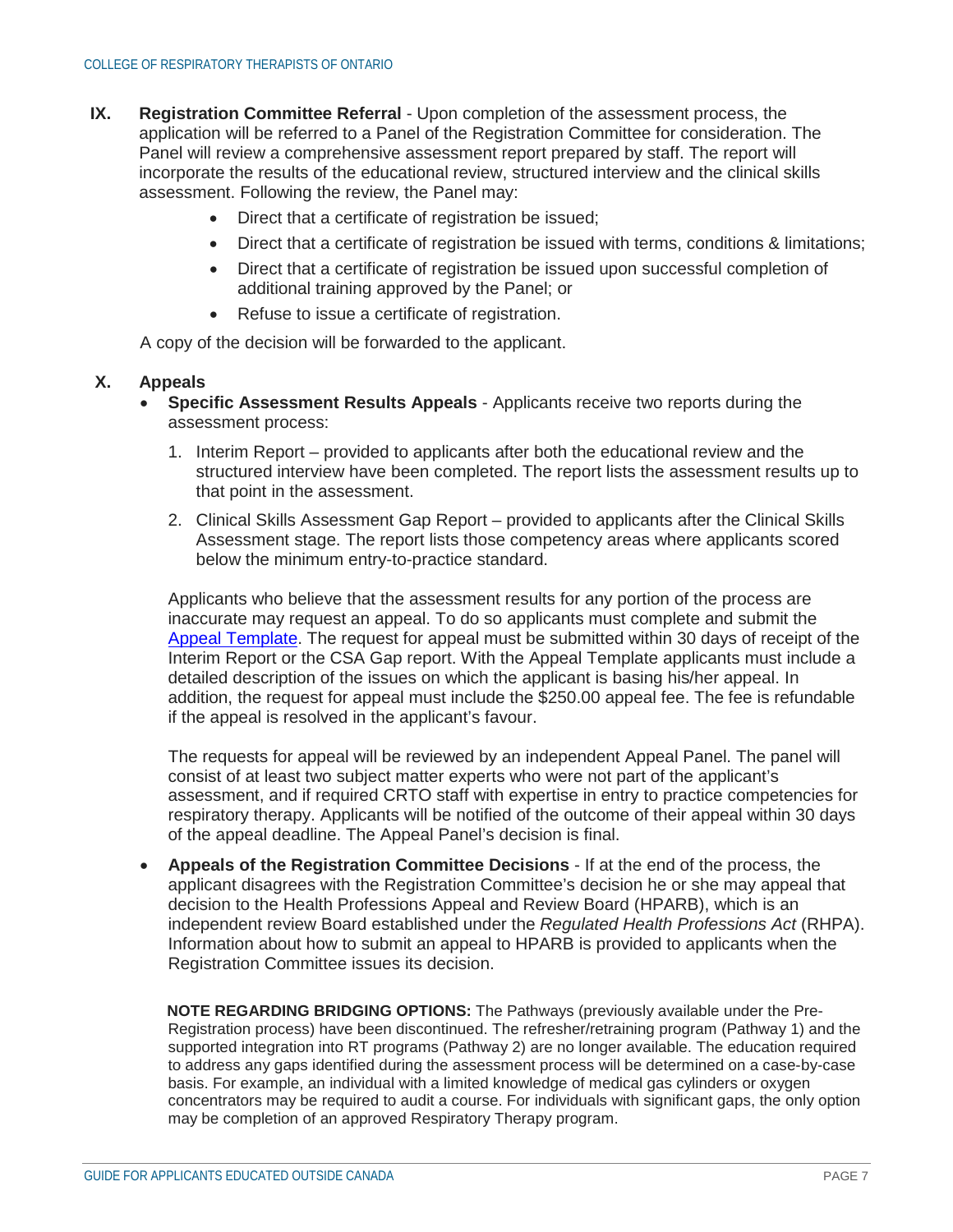- **IX. Registration Committee Referral** Upon completion of the assessment process, the application will be referred to a Panel of the Registration Committee for consideration. The Panel will review a comprehensive assessment report prepared by staff. The report will incorporate the results of the educational review, structured interview and the clinical skills assessment. Following the review, the Panel may:
	- Direct that a certificate of registration be issued;
	- Direct that a certificate of registration be issued with terms, conditions & limitations;
	- Direct that a certificate of registration be issued upon successful completion of additional training approved by the Panel; or
	- Refuse to issue a certificate of registration.

A copy of the decision will be forwarded to the applicant.

### **X. Appeals**

- **Specific Assessment Results Appeals** Applicants receive two reports during the assessment process:
	- 1. Interim Report provided to applicants after both the educational review and the structured interview have been completed. The report lists the assessment results up to that point in the assessment.
	- 2. Clinical Skills Assessment Gap Report provided to applicants after the Clinical Skills Assessment stage. The report lists those competency areas where applicants scored below the minimum entry-to-practice standard.

Applicants who believe that the assessment results for any portion of the process are inaccurate may request an appeal. To do so applicants must complete and submit the Appeal Template. The request for appeal must be submitted within 30 days of receipt of the Interim Report or the CSA Gap report. With the Appeal Template applicants must include a detailed description of the issues on which the applicant is basing his/her appeal. In addition, the request for appeal must include the \$250.00 appeal fee. The fee is refundable if the appeal is resolved in the applicant's favour.

The requests for appeal will be reviewed by an independent Appeal Panel. The panel will consist of at least two subject matter experts who were not part of the applicant's assessment, and if required CRTO staff with expertise in entry to practice competencies for respiratory therapy. Applicants will be notified of the outcome of their appeal within 30 days of the appeal deadline. The Appeal Panel's decision is final.

• **Appeals of the Registration Committee Decisions** - If at the end of the process, the applicant disagrees with the Registration Committee's decision he or she may appeal that decision to the Health Professions Appeal and Review Board (HPARB), which is an independent review Board established under the *Regulated Health Professions Act* (RHPA). Information about how to submit an appeal to HPARB is provided to applicants when the Registration Committee issues its decision.

**NOTE REGARDING BRIDGING OPTIONS:** The Pathways (previously available under the Pre-Registration process) have been discontinued. The refresher/retraining program (Pathway 1) and the supported integration into RT programs (Pathway 2) are no longer available. The education required to address any gaps identified during the assessment process will be determined on a case-by-case basis. For example, an individual with a limited knowledge of medical gas cylinders or oxygen concentrators may be required to audit a course. For individuals with significant gaps, the only option may be completion of an approved Respiratory Therapy program.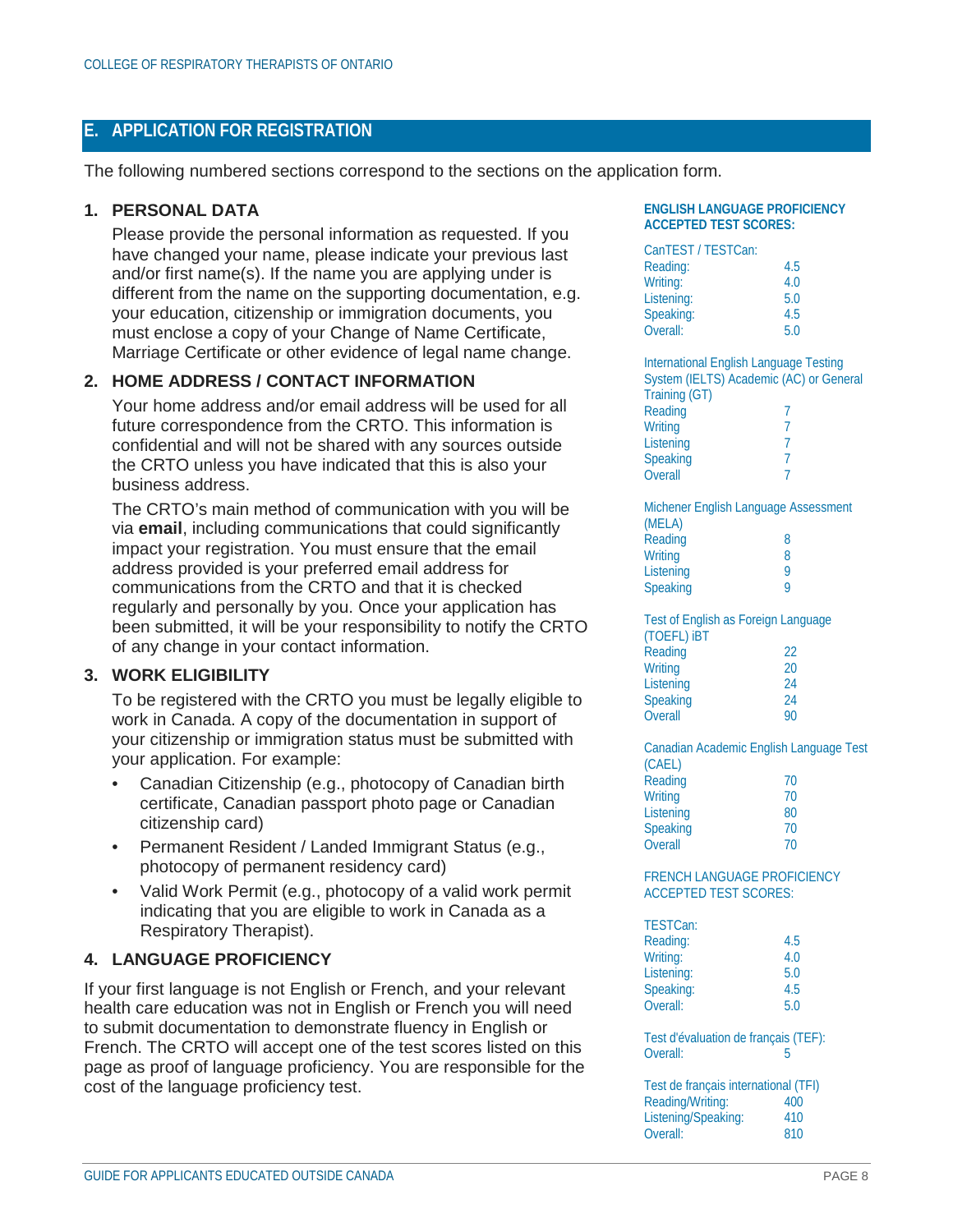# <span id="page-7-0"></span>**E. APPLICATION FOR REGISTRATION**

The following numbered sections correspond to the sections on the application form.

### **1. PERSONAL DATA**

Please provide the personal information as requested. If you have changed your name, please indicate your previous last and/or first name(s). If the name you are applying under is different from the name on the supporting documentation, e.g. your education, citizenship or immigration documents, you must enclose a copy of your Change of Name Certificate, Marriage Certificate or other evidence of legal name change.

## **2. HOME ADDRESS / CONTACT INFORMATION**

Your home address and/or email address will be used for all future correspondence from the CRTO. This information is confidential and will not be shared with any sources outside the CRTO unless you have indicated that this is also your business address.

The CRTO's main method of communication with you will be via **email**, including communications that could significantly impact your registration. You must ensure that the email address provided is your preferred email address for communications from the CRTO and that it is checked regularly and personally by you. Once your application has been submitted, it will be your responsibility to notify the CRTO of any change in your contact information.

## **3. WORK ELIGIBILITY**

To be registered with the CRTO you must be legally eligible to work in Canada. A copy of the documentation in support of your citizenship or immigration status must be submitted with your application. For example:

- Canadian Citizenship (e.g., photocopy of Canadian birth certificate, Canadian passport photo page or Canadian citizenship card)
- Permanent Resident / Landed Immigrant Status (e.g., photocopy of permanent residency card)
- Valid Work Permit (e.g., photocopy of a valid work permit indicating that you are eligible to work in Canada as a Respiratory Therapist).

## **4. LANGUAGE PROFICIENCY**

If your first language is not English or French, and your relevant health care education was not in English or French you will need to submit documentation to demonstrate fluency in English or French. The CRTO will accept one of the test scores listed on this page as proof of language proficiency. You are responsible for the cost of the language proficiency test.

#### **ENGLISH LANGUAGE PROFICIENCY ACCEPTED TEST SCORES:**

| CanTEST / TESTCan: |     |
|--------------------|-----|
| Reading:           | 4.5 |
| Writing:           | 4.0 |
| Listening:         | 5.0 |
| Speaking:          | 4.5 |
| Overall:           | 5.0 |
|                    |     |

International English Language Testing System (IELTS) Academic (AC) or General Training (GT) Reading 7<br>Writing 7 **Writing** Listening 7 Speaking 7<br>Overall 7 **Overall** 

| Michener English Language Assessment |
|--------------------------------------|
|                                      |
| 8                                    |
| 8                                    |
| Q                                    |
| o                                    |
|                                      |

Test of English as Foreign Language (TOEFL) iBT Reading 22 Writing 20<br>
Listening 24 Listening 24<br>
Speaking 24 Speaking

Overall 90

**Overall** 

Canadian Academic English Language Test (CAEL) Reading 70 Writing 70 Listening 80 Speaking 70<br>
Overall 70

#### FRENCH LANGUAGE PROFICIENCY ACCEPTED TEST SCORES:

| TESTCan:   |     |
|------------|-----|
| Reading:   | 4.5 |
| Writing:   | 4.0 |
| Listening: | 5.0 |
| Speaking:  | 4.5 |
| Overall:   | 5.0 |

Test d'évaluation de français (TEF):<br>Overall: Overall:

| Test de français international (TFI) |     |  |
|--------------------------------------|-----|--|
| Reading/Writing:                     | 400 |  |
| Listening/Speaking:                  | 410 |  |
| Overall:                             | 810 |  |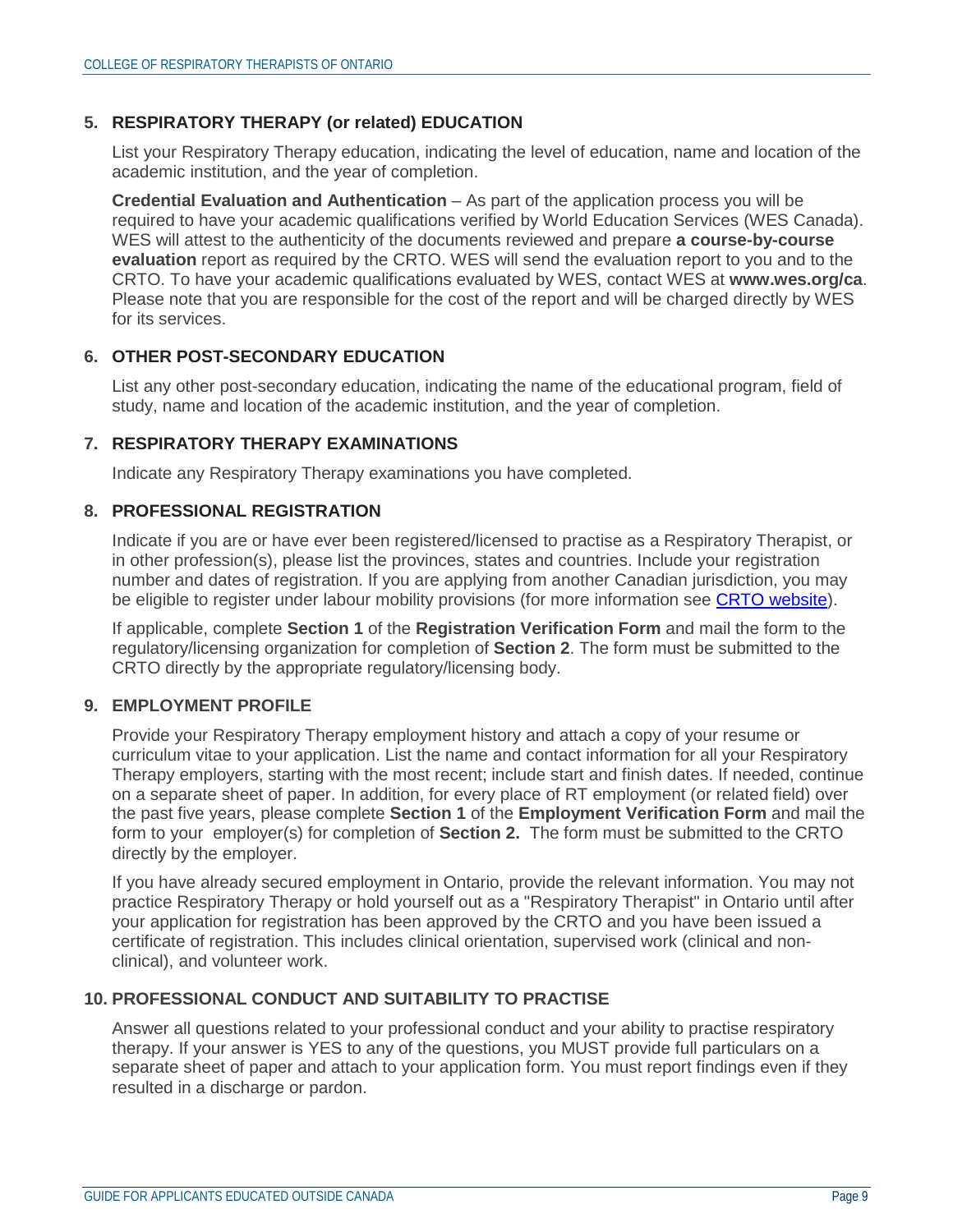## **5. RESPIRATORY THERAPY (or related) EDUCATION**

List your Respiratory Therapy education, indicating the level of education, name and location of the academic institution, and the year of completion.

**Credential Evaluation and Authentication** – As part of the application process you will be required to have your academic qualifications verified by World Education Services (WES Canada). WES will attest to the authenticity of the documents reviewed and prepare **a course-by-course evaluation** report as required by the CRTO. WES will send the evaluation report to you and to the CRTO. To have your academic qualifications evaluated by WES, contact WES at **www.wes.org/ca**. Please note that you are responsible for the cost of the report and will be charged directly by WES for its services.

## **6. OTHER POST-SECONDARY EDUCATION**

List any other post-secondary education, indicating the name of the educational program, field of study, name and location of the academic institution, and the year of completion.

### **7. RESPIRATORY THERAPY EXAMINATIONS**

Indicate any Respiratory Therapy examinations you have completed.

### **8. PROFESSIONAL REGISTRATION**

Indicate if you are or have ever been registered/licensed to practise as a Respiratory Therapist, or in other profession(s), please list the provinces, states and countries. Include your registration number and dates of registration. If you are applying from another Canadian jurisdiction, you may be eligible to register under labour mobility provisions (for more information see CRTO website).

If applicable, complete **Section 1** of the **Registration Verification Form** and mail the form to the regulatory/licensing organization for completion of **Section 2**. The form must be submitted to the CRTO directly by the appropriate regulatory/licensing body.

## **9. EMPLOYMENT PROFILE**

Provide your Respiratory Therapy employment history and attach a copy of your resume or curriculum vitae to your application. List the name and contact information for all your Respiratory Therapy employers, starting with the most recent; include start and finish dates. If needed, continue on a separate sheet of paper. In addition, for every place of RT employment (or related field) over the past five years, please complete **Section 1** of the **Employment Verification Form** and mail the form to your employer(s) for completion of **Section 2.** The form must be submitted to the CRTO directly by the employer.

If you have already secured employment in Ontario, provide the relevant information. You may not practice Respiratory Therapy or hold yourself out as a "Respiratory Therapist" in Ontario until after your application for registration has been approved by the CRTO and you have been issued a certificate of registration. This includes clinical orientation, supervised work (clinical and nonclinical), and volunteer work.

## **10. PROFESSIONAL CONDUCT AND SUITABILITY TO PRACTISE**

Answer all questions related to your professional conduct and your ability to practise respiratory therapy. If your answer is YES to any of the questions, you MUST provide full particulars on a separate sheet of paper and attach to your application form. You must report findings even if they resulted in a discharge or pardon.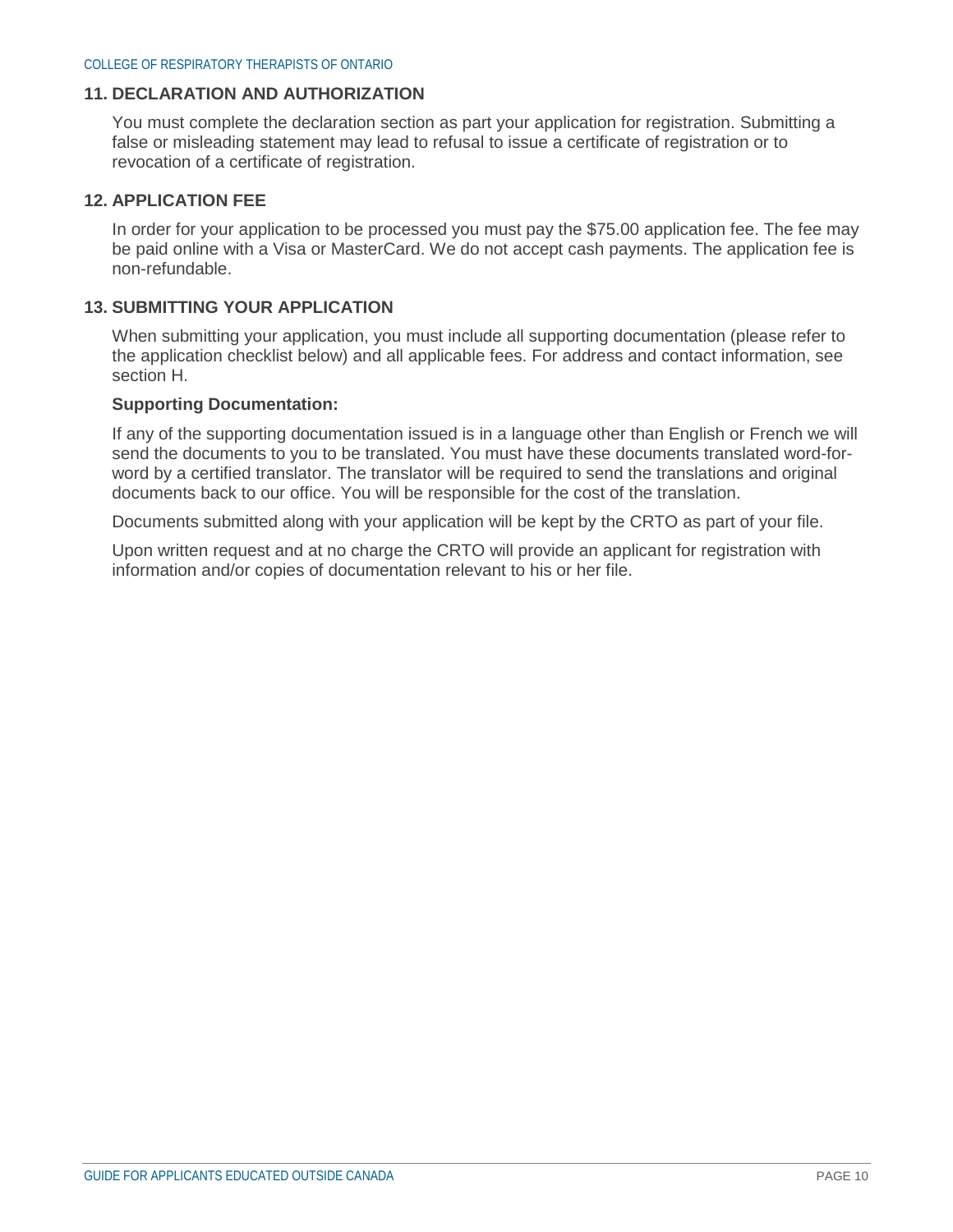### **11. DECLARATION AND AUTHORIZATION**

You must complete the declaration section as part your application for registration. Submitting a false or misleading statement may lead to refusal to issue a certificate of registration or to revocation of a certificate of registration.

#### **12. APPLICATION FEE**

In order for your application to be processed you must pay the \$75.00 application fee. The fee may be paid online with a Visa or MasterCard. We do not accept cash payments. The application fee is non-refundable.

### **13. SUBMITTING YOUR APPLICATION**

When submitting your application, you must include all supporting documentation (please refer to the application checklist below) and all applicable fees. For address and contact information, see section H.

#### **Supporting Documentation:**

If any of the supporting documentation issued is in a language other than English or French we will send the documents to you to be translated. You must have these documents translated word-forword by a certified translator. The translator will be required to send the translations and original documents back to our office. You will be responsible for the cost of the translation.

Documents submitted along with your application will be kept by the CRTO as part of your file.

Upon written request and at no charge the CRTO will provide an applicant for registration with information and/or copies of documentation relevant to his or her file.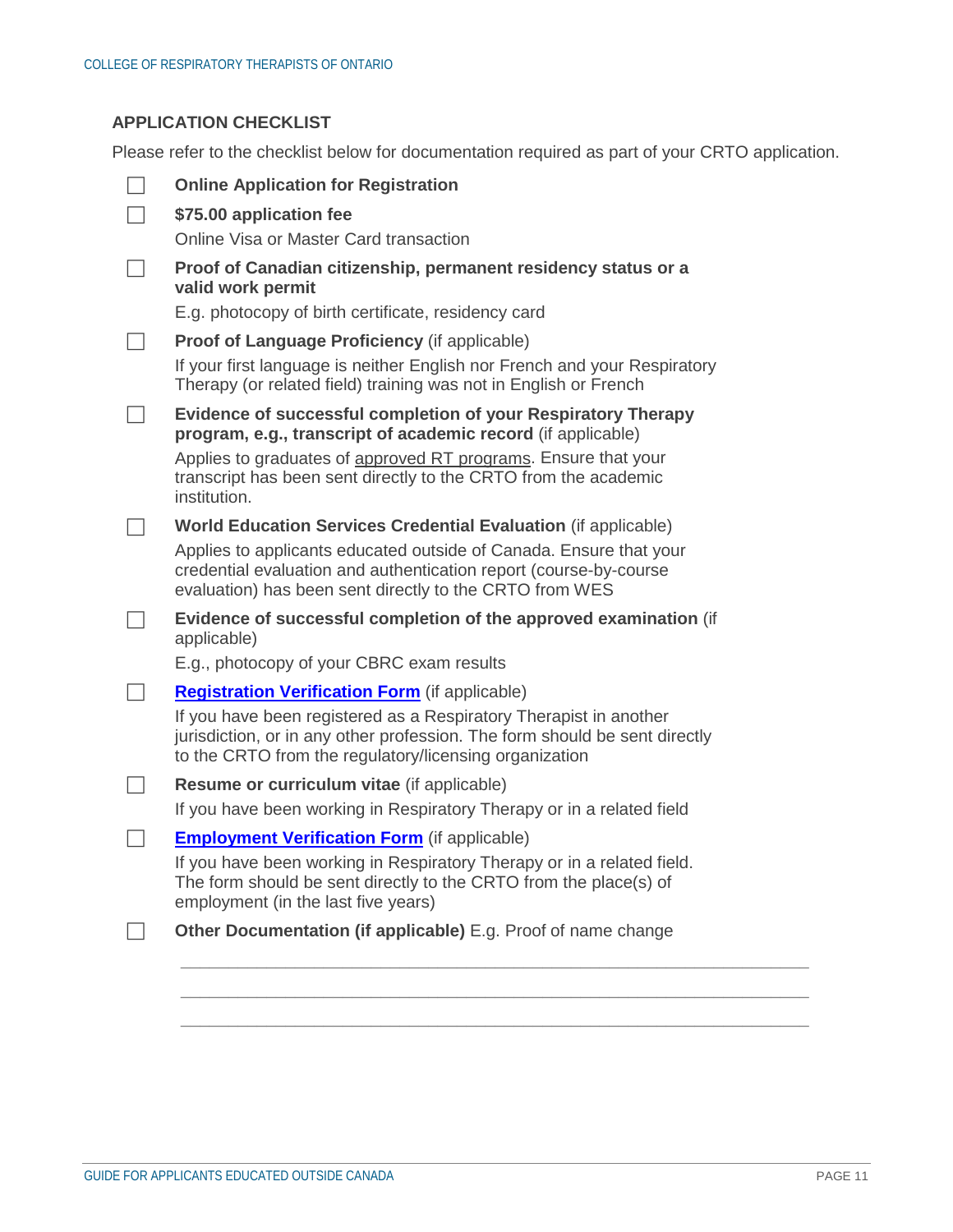# **APPLICATION CHECKLIST**

Please refer to the checklist below for documentation required as part of your CRTO application.

| <b>Online Application for Registration</b>                                                                                                                                                                |
|-----------------------------------------------------------------------------------------------------------------------------------------------------------------------------------------------------------|
| \$75.00 application fee                                                                                                                                                                                   |
| Online Visa or Master Card transaction                                                                                                                                                                    |
| Proof of Canadian citizenship, permanent residency status or a<br>valid work permit                                                                                                                       |
| E.g. photocopy of birth certificate, residency card                                                                                                                                                       |
| <b>Proof of Language Proficiency (if applicable)</b>                                                                                                                                                      |
| If your first language is neither English nor French and your Respiratory<br>Therapy (or related field) training was not in English or French                                                             |
| Evidence of successful completion of your Respiratory Therapy<br>program, e.g., transcript of academic record (if applicable)                                                                             |
| Applies to graduates of approved RT programs. Ensure that your<br>transcript has been sent directly to the CRTO from the academic<br>institution.                                                         |
| World Education Services Credential Evaluation (if applicable)                                                                                                                                            |
| Applies to applicants educated outside of Canada. Ensure that your<br>credential evaluation and authentication report (course-by-course<br>evaluation) has been sent directly to the CRTO from WES        |
| Evidence of successful completion of the approved examination (if<br>applicable)                                                                                                                          |
| E.g., photocopy of your CBRC exam results                                                                                                                                                                 |
| <b>Registration Verification Form</b> (if applicable)                                                                                                                                                     |
| If you have been registered as a Respiratory Therapist in another<br>jurisdiction, or in any other profession. The form should be sent directly<br>to the CRTO from the regulatory/licensing organization |
| Resume or curriculum vitae (if applicable)                                                                                                                                                                |
| If you have been working in Respiratory Therapy or in a related field                                                                                                                                     |
| <b>Employment Verification Form</b> (if applicable)                                                                                                                                                       |
| If you have been working in Respiratory Therapy or in a related field.<br>The form should be sent directly to the CRTO from the place(s) of<br>employment (in the last five years)                        |
|                                                                                                                                                                                                           |

\_\_\_\_\_\_\_\_\_\_\_\_\_\_\_\_\_\_\_\_\_\_\_\_\_\_\_\_\_\_\_\_\_\_\_\_\_\_\_\_\_\_\_\_\_\_\_\_\_\_\_\_\_\_\_\_\_\_\_\_\_\_\_\_\_\_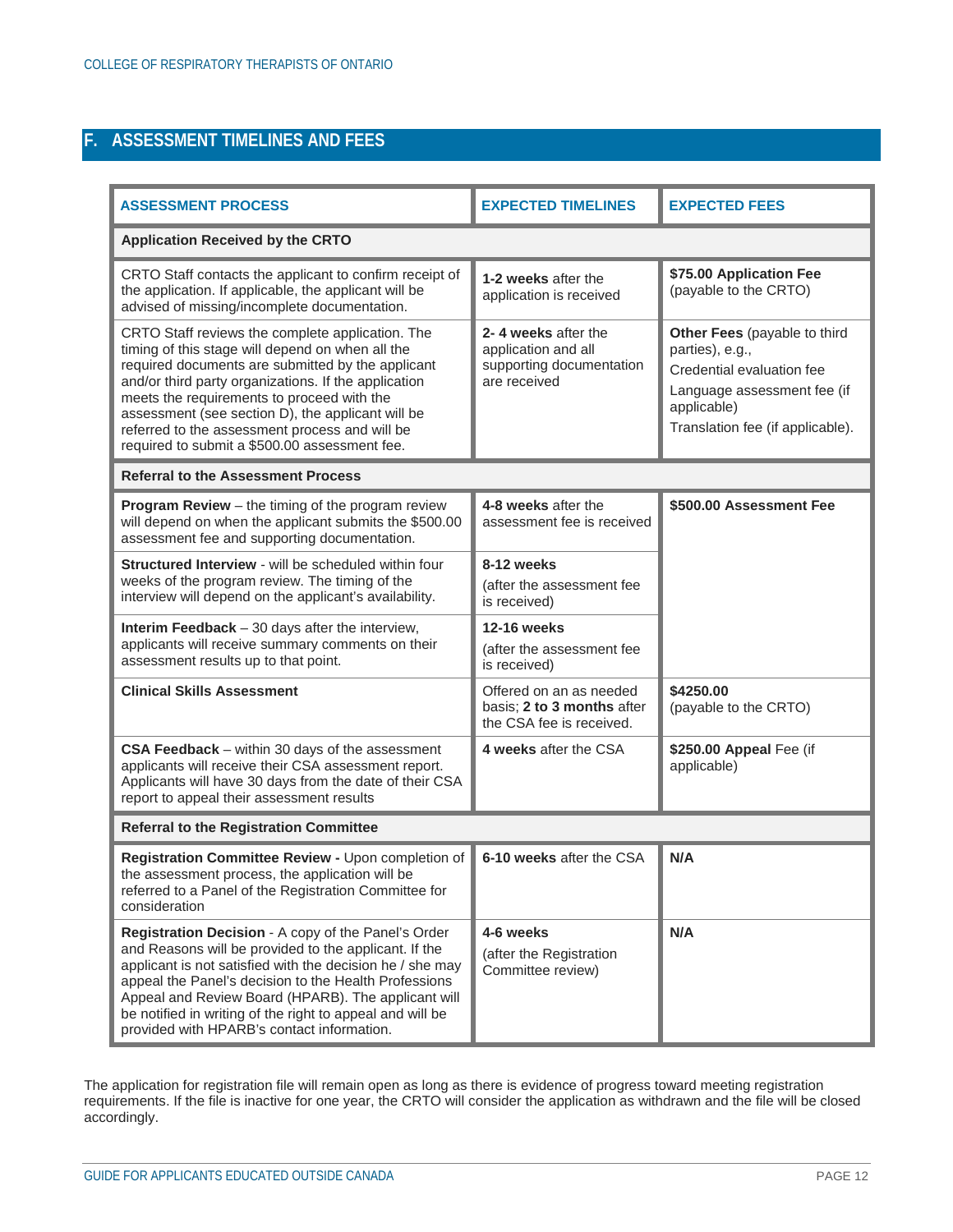# <span id="page-11-0"></span>**F. ASSESSMENT TIMELINES AND FEES**

| <b>ASSESSMENT PROCESS</b>                                                                                                                                                                                                                                                                                                                                                                                               | <b>EXPECTED TIMELINES</b>                                                              | <b>EXPECTED FEES</b>                                                                                                                                           |  |  |
|-------------------------------------------------------------------------------------------------------------------------------------------------------------------------------------------------------------------------------------------------------------------------------------------------------------------------------------------------------------------------------------------------------------------------|----------------------------------------------------------------------------------------|----------------------------------------------------------------------------------------------------------------------------------------------------------------|--|--|
| <b>Application Received by the CRTO</b>                                                                                                                                                                                                                                                                                                                                                                                 |                                                                                        |                                                                                                                                                                |  |  |
| CRTO Staff contacts the applicant to confirm receipt of<br>the application. If applicable, the applicant will be<br>advised of missing/incomplete documentation.                                                                                                                                                                                                                                                        | 1-2 weeks after the<br>application is received                                         | \$75.00 Application Fee<br>(payable to the CRTO)                                                                                                               |  |  |
| CRTO Staff reviews the complete application. The<br>timing of this stage will depend on when all the<br>required documents are submitted by the applicant<br>and/or third party organizations. If the application<br>meets the requirements to proceed with the<br>assessment (see section D), the applicant will be<br>referred to the assessment process and will be<br>required to submit a \$500.00 assessment fee. | 2-4 weeks after the<br>application and all<br>supporting documentation<br>are received | Other Fees (payable to third<br>parties), e.g.,<br>Credential evaluation fee<br>Language assessment fee (if<br>applicable)<br>Translation fee (if applicable). |  |  |
| <b>Referral to the Assessment Process</b>                                                                                                                                                                                                                                                                                                                                                                               |                                                                                        |                                                                                                                                                                |  |  |
| <b>Program Review</b> $-$ the timing of the program review<br>will depend on when the applicant submits the \$500.00<br>assessment fee and supporting documentation.                                                                                                                                                                                                                                                    | 4-8 weeks after the<br>assessment fee is received                                      | \$500.00 Assessment Fee                                                                                                                                        |  |  |
| Structured Interview - will be scheduled within four<br>weeks of the program review. The timing of the<br>interview will depend on the applicant's availability.                                                                                                                                                                                                                                                        | 8-12 weeks<br>(after the assessment fee<br>is received)                                |                                                                                                                                                                |  |  |
| <b>Interim Feedback</b> $-30$ days after the interview,<br>applicants will receive summary comments on their<br>assessment results up to that point.                                                                                                                                                                                                                                                                    | <b>12-16 weeks</b><br>(after the assessment fee<br>is received)                        |                                                                                                                                                                |  |  |
| <b>Clinical Skills Assessment</b>                                                                                                                                                                                                                                                                                                                                                                                       | Offered on an as needed<br>basis; 2 to 3 months after<br>the CSA fee is received.      | \$4250.00<br>(payable to the CRTO)                                                                                                                             |  |  |
| CSA Feedback - within 30 days of the assessment<br>applicants will receive their CSA assessment report.<br>Applicants will have 30 days from the date of their CSA<br>report to appeal their assessment results                                                                                                                                                                                                         | 4 weeks after the CSA                                                                  | \$250.00 Appeal Fee (if<br>applicable)                                                                                                                         |  |  |
| <b>Referral to the Registration Committee</b>                                                                                                                                                                                                                                                                                                                                                                           |                                                                                        |                                                                                                                                                                |  |  |
| Registration Committee Review - Upon completion of<br>the assessment process, the application will be<br>referred to a Panel of the Registration Committee for<br>consideration                                                                                                                                                                                                                                         | 6-10 weeks after the CSA                                                               | N/A                                                                                                                                                            |  |  |
| Registration Decision - A copy of the Panel's Order<br>and Reasons will be provided to the applicant. If the<br>applicant is not satisfied with the decision he / she may<br>appeal the Panel's decision to the Health Professions<br>Appeal and Review Board (HPARB). The applicant will<br>be notified in writing of the right to appeal and will be<br>provided with HPARB's contact information.                    | 4-6 weeks<br>(after the Registration<br>Committee review)                              | N/A                                                                                                                                                            |  |  |

The application for registration file will remain open as long as there is evidence of progress toward meeting registration requirements. If the file is inactive for one year, the CRTO will consider the application as withdrawn and the file will be closed accordingly.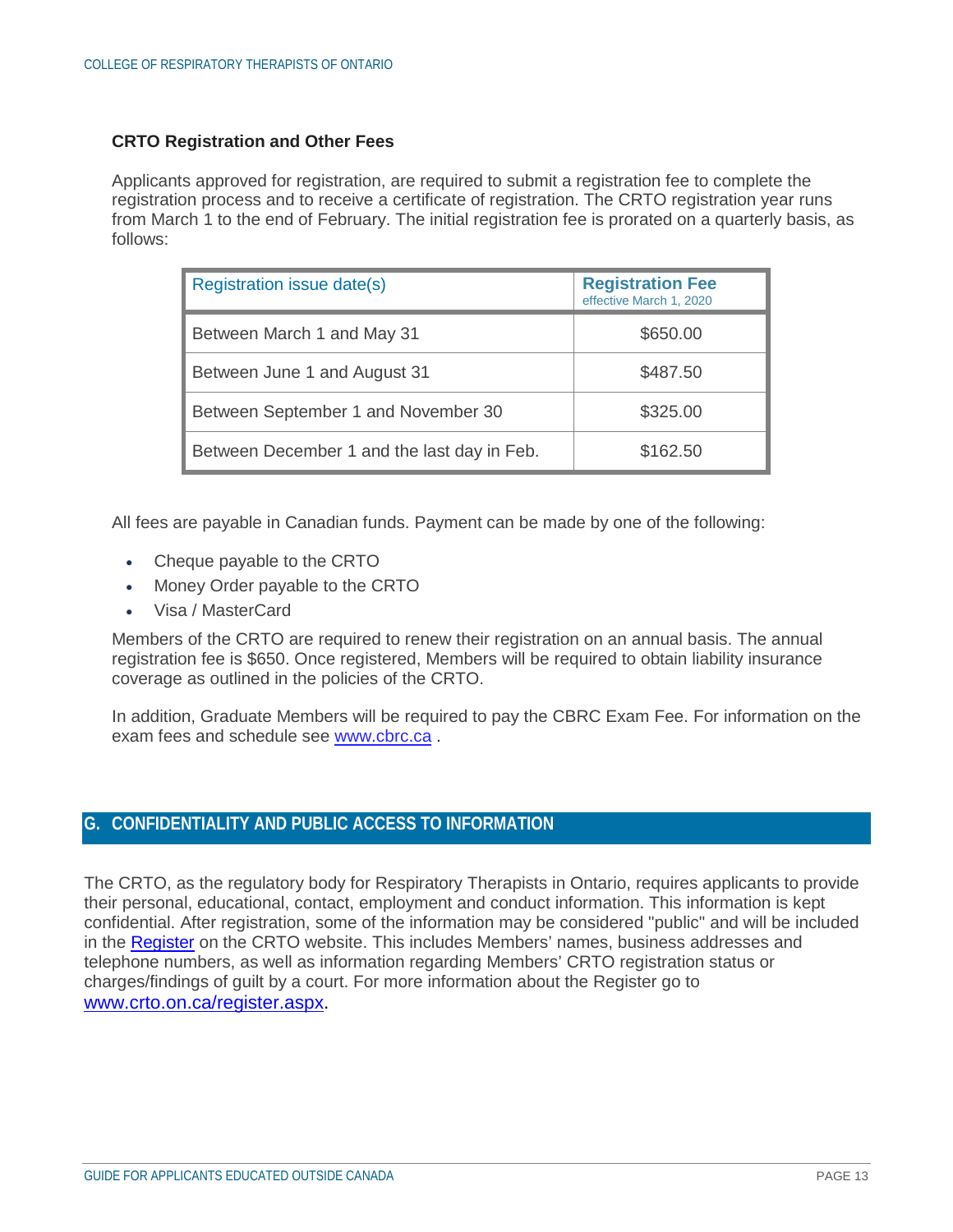## **CRTO Registration and Other Fees**

Applicants approved for registration, are required to submit a registration fee to complete the registration process and to receive a certificate of registration. The CRTO registration year runs from March 1 to the end of February. The initial registration fee is prorated on a quarterly basis, as follows:

| Registration issue date(s)                  | <b>Registration Fee</b><br>effective March 1, 2020 |
|---------------------------------------------|----------------------------------------------------|
| Between March 1 and May 31                  | \$650.00                                           |
| Between June 1 and August 31                | \$487.50                                           |
| Between September 1 and November 30         | \$325.00                                           |
| Between December 1 and the last day in Feb. | \$162.50                                           |

All fees are payable in Canadian funds. Payment can be made by one of the following:

- Cheque payable to the CRTO
- Money Order payable to the CRTO
- Visa / MasterCard

Members of the CRTO are required to renew their registration on an annual basis. The annual registration fee is \$650. Once registered, Members will be required to obtain liability insurance coverage as outlined in the policies of the CRTO.

In addition, Graduate Members will be required to pay the CBRC Exam Fee. For information on the exam fees and schedule see www.cbrc.ca .

# <span id="page-12-0"></span>**G. CONFIDENTIALITY AND PUBLIC ACCESS TO INFORMATION**

The CRTO, as the regulatory body for Respiratory Therapists in Ontario, requires applicants to provide their personal, educational, contact, employment and conduct information. This information is kept confidential. After registration, some of the information may be considered "public" and will be included in the Register on the CRTO website. This includes Members' names, business addresses and telephone numbers, as well as information regarding Members' CRTO registration status or charges/findings of guilt by a court. For more information about the Register go to www.crto.on.ca/register.aspx.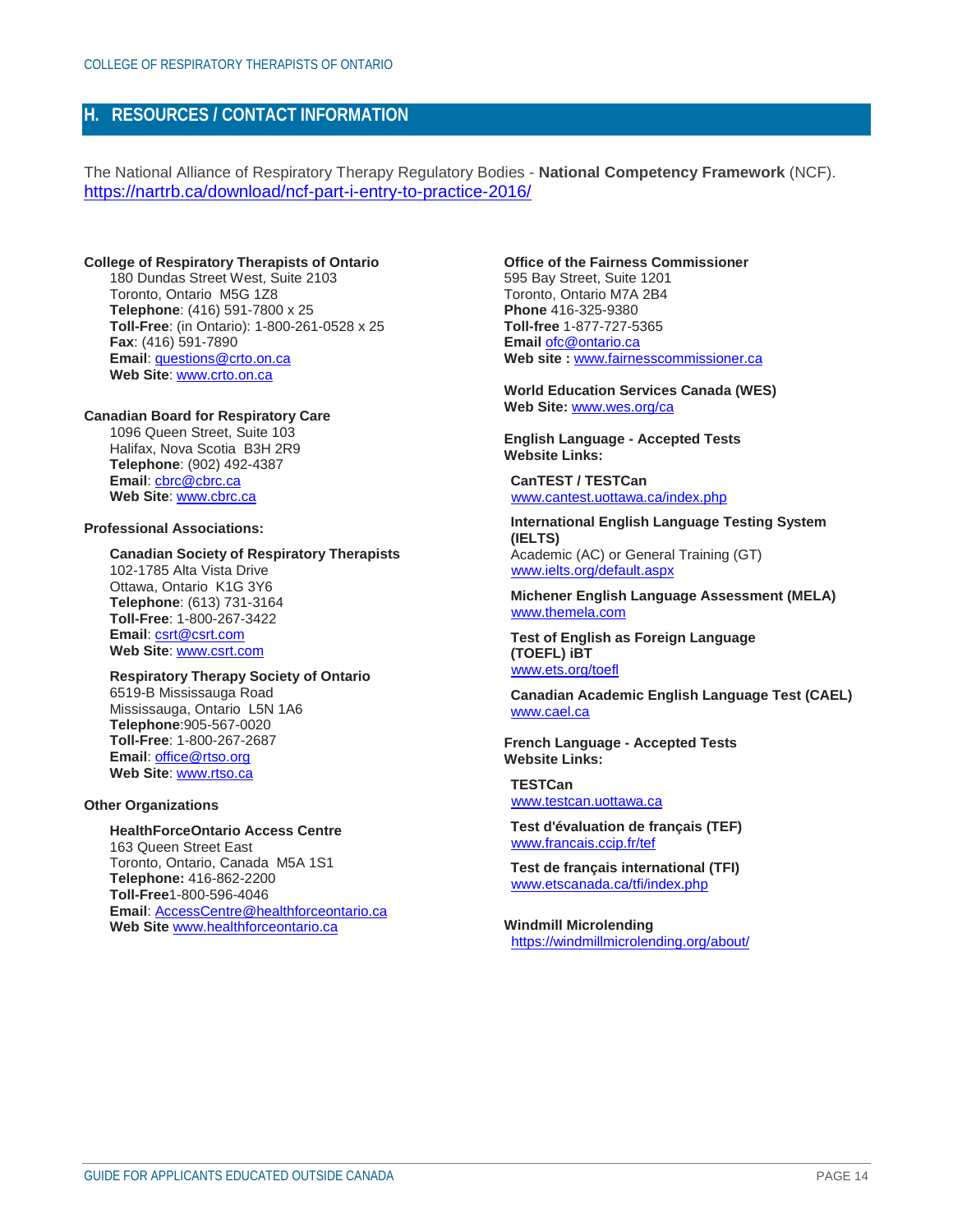## <span id="page-13-0"></span>**H. RESOURCES / CONTACT INFORMATION**

The National Alliance of Respiratory Therapy Regulatory Bodies - **National Competency Framework** (NCF). https://nartrb.ca/download/ncf-part-i-entry-to-practice-2016/

#### **College of Respiratory Therapists of Ontario**

180 Dundas Street West, Suite 2103 Toronto, Ontario M5G 1Z8 **Telephone**: (416) 591-7800 x 25 **Toll-Free**: (in Ontario): 1-800-261-0528 x 25 **Fax**: (416) 591-7890 **Email**: questions@crto.on.ca **Web Site**: www.crto.on.ca

#### **Canadian Board for Respiratory Care**

1096 Queen Street, Suite 103 Halifax, Nova Scotia B3H 2R9 **Telephone**: (902) 492-4387 **Email**: cbrc@cbrc.ca **Web Site**: www.cbrc.ca

#### **Professional Associations:**

**Canadian Society of Respiratory Therapists** 102-1785 Alta Vista Drive Ottawa, Ontario K1G 3Y6 **Telephone**: (613) 731-3164 **Toll-Free**: 1-800-267-3422 **Email**: csrt@csrt.com **Web Site**: www.csrt.com

#### **Respiratory Therapy Society of Ontario** 6519-B Mississauga Road Mississauga, Ontario L5N 1A6 **Telephone**:905-567-0020 **Toll-Free**: 1-800-267-2687 **Email**: office@rtso.org **Web Site**: www.rtso.ca

#### **Other Organizations**

#### **HealthForceOntario Access Centre** 163 Queen Street East Toronto, Ontario, Canada M5A 1S1 **Telephone:** 416-862-2200 **Toll-Free**1-800-596-4046

**Email**: AccessCentre@healthforceontario.ca **Web Site** www.healthforceontario.ca

**Office of the Fairness Commissioner** 595 Bay Street, Suite 1201 Toronto, Ontario M7A 2B4 **Phone** 416-325-9380 **Toll-free** 1-877-727-5365 **Email** ofc@ontario.ca **Web site :** www.fairnesscommissioner.ca

**World Education Services Canada (WES) Web Site:** www.wes.org/ca

**English Language - Accepted Tests Website Links:**

**CanTEST / TESTCan** www.cantest.uottawa.ca/index.php

**International English Language Testing System (IELTS)**  Academic (AC) or General Training (GT) www.ielts.org/default.aspx

**Michener English Language Assessment (MELA)** www.themela.com

**Test of English as Foreign Language (TOEFL) iBT**  www.ets.org/toefl

**Canadian Academic English Language Test (CAEL)** www.cael.ca

**French Language - Accepted Tests Website Links:**

**TESTCan** www.testcan.uottawa.ca

**Test d'évaluation de français (TEF)**  www.francais.ccip.fr/tef

**Test de français international (TFI)**  www.etscanada.ca/tfi/index.php

**Windmill Microlending** https://windmillmicrolending.org/about/